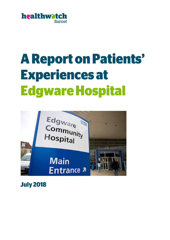

# **A Report on Patients' Experiences at Edgware Hospital**



**July 2018**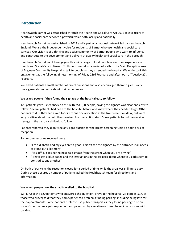# **Introduction**

Healthwatch Barnet was established through the Health and Social Care Act 2012 to give users of health and social care services a powerful voice both locally and nationally.

Healthwatch Barnet was established in 2013 and is part of a national network led by Healthwatch England. We are the independent voice for residents of Barnet who use health and social care services. Our vision is of a thriving and active community of Barnet people who want to influence and contribute to the development and delivery of quality health and social care in the borough.

Healthwatch Barnet want to engage with a wide range of local people about their experience of Health and Social Care in Barnet. To this end we set up a series of stalls in the Main Reception area of Edgware Community Hospital to talk to people as they attended the hospital. We undertook this engagement at the following times: morning of Friday 23rd February and afternoon of Tuesday 27th February.

We asked patients a small number of direct questions and also encouraged them to give us any more general comments about their experiences.

## **We asked people if they found the signage at the hospital easy to follow:**

120 patients gave us feedback on this with 75% (90 people) saying the signage was clear and easy to follow. Several patients had been to the hospital before and knew where they needed to go. Other patients told us they had asked for directions or clarification at the front reception desk, but were very positive about the help they received from reception staff. Some patients found the outside signage in the car park difficult to follow.

Patients reported they didn't see any signs outside for the Breast Screening Unit, so had to ask at reception.

Some comments we received were:

- "I'm a diabetic and my eyes aren't good, I didn't see the signage by the entrance it all needs to stand out a lot more"
- "It's difficult to see the hospital signage from the street when you are driving"
- " I have got a blue badge and the instructions in the car park about where you park seem to contradict one another"

On both of our visits the reception closed for a period of time while the area was still quite busy. During these closures a number of patients asked the Healthwatch team for directions and information.

### **We asked people how they had travelled to the hospital:**

52 (43%) of the 120 patients who answered this question, drove to the hospital. 27 people (51% of those who drove) said that they had experienced problems finding parking, including being late for their appointments. Some patients prefer to use public transport as they found parking to be an issue. Other patients get dropped off and picked up by a relative or friend to avoid any issues with parking.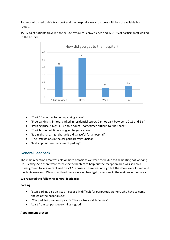Patients who used public transport said the hospital is easy to access with lots of available bus routes.



15 (12%) of patients travelled to the site by taxi for convenience and 12 (10% of participants) walked to the hospital.

- "Took 10 minutes to find a parking space"
- "Free parking is limited, parked in residential street. Cannot park between 10-11 and 2-3"
- "Parking price is high. £2 up to 2 hours sometimes difficult to find space"
- "Took bus as last time struggled to get a space"
- "Is a nightmare, high charge is a disgraceful for a hospital"
- "The instructions in the car park are very unclear"
- "Lost appointment because of parking"

## **General Feedback**

The main reception area was cold on both occasions we were there due to the heating not working. On Tuesday 27th there were three electric heaters to help but the reception area was still cold. Lower ground toilets were closed on 23<sup>rd</sup> February. There was no sign but the doors were locked and the lights were out. We also noticed there were no hand gel dispensers in the main reception area.

### **We received the following general feedback:**

### **Parking**

- "Staff parking also an issue especially difficult for peripatetic workers who have to come and go at the hospital site"
- "Car park fees, can only pay for 2 hours. No short time fees"
- Apart from car park, everything is good"

### **Appointment process**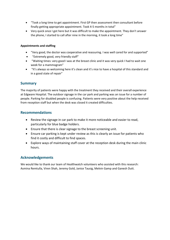- "Took a long time to get appointment. First GP then assessment then consultant before finally getting appropriate appointment. Took 4-5 months in total"
- Very quick once I got here but it was difficult to make the appointment. They don't answer the phone, I started to call after nine in the morning, it took a long time"

## **Appointments and staffing**

- "Very good, the doctor was cooperative and reassuring. I was well cared for and supported"
- "Extremely good, very friendly staff"
- "Waiting times: very good I was at the breast clinic and it was very quick I had to wait one week for a mammogram"
- "It's always so welcoming here it's clean and it's nice to have a hospital of this standard and in a good state of repair"

## **Summary**

The majority of patients were happy with the treatment they received and their overall experience at Edgware Hospital. The outdoor signage in the car park and parking was an issue for a number of people. Parking for disabled people is confusing. Patients were very positive about the help received from reception staff but when the desk was closed it created difficulties.

## **Recommendations**

- Review the signage in car park to make it more noticeable and easier to read, particularly for blue badge holders.
- Ensure that there is clear signage to the breast screening unit.
- Ensure car parking is kept under review as this is clearly an issue for patients who find it costly and difficult to find spaces.
- Explore ways of maintaining staff cover at the reception desk during the main clinic hours.

# **Acknowledgements**

We would like to thank our team of Healthwatch volunteers who assisted with this research: Asmina Remtulla, Viren Shah, Jeremy Gold, Janice Tausig, Melvin Gamp and Ganesh Dutt.